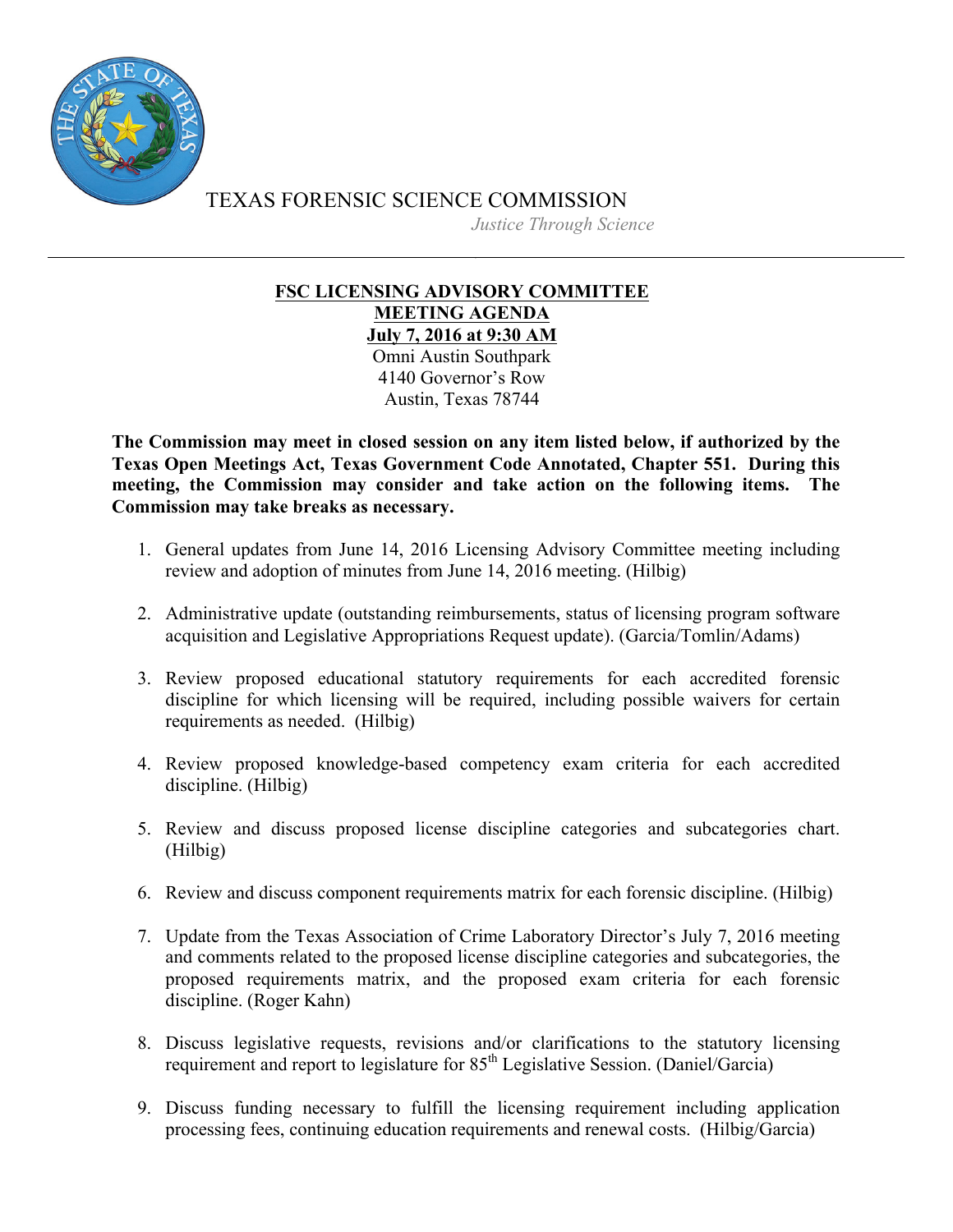

TEXAS FORENSIC SCIENCE COMMISSION *Justice Through Science*

## **FSC LICENSING ADVISORY COMMITTEE MEETING AGENDA July 7, 2016 at 9:30 AM**

Omni Austin Southpark 4140 Governor's Row Austin, Texas 78744

**The Commission may meet in closed session on any item listed below, if authorized by the Texas Open Meetings Act, Texas Government Code Annotated, Chapter 551. During this meeting, the Commission may consider and take action on the following items. The Commission may take breaks as necessary.**

- 1. General updates from June 14, 2016 Licensing Advisory Committee meeting including review and adoption of minutes from June 14, 2016 meeting. (Hilbig)
- 2. Administrative update (outstanding reimbursements, status of licensing program software acquisition and Legislative Appropriations Request update). (Garcia/Tomlin/Adams)
- 3. Review proposed educational statutory requirements for each accredited forensic discipline for which licensing will be required, including possible waivers for certain requirements as needed. (Hilbig)
- 4. Review proposed knowledge-based competency exam criteria for each accredited discipline. (Hilbig)
- 5. Review and discuss proposed license discipline categories and subcategories chart. (Hilbig)
- 6. Review and discuss component requirements matrix for each forensic discipline. (Hilbig)
- 7. Update from the Texas Association of Crime Laboratory Director's July 7, 2016 meeting and comments related to the proposed license discipline categories and subcategories, the proposed requirements matrix, and the proposed exam criteria for each forensic discipline. (Roger Kahn)
- 8. Discuss legislative requests, revisions and/or clarifications to the statutory licensing requirement and report to legislature for 85<sup>th</sup> Legislative Session. (Daniel/Garcia)
- 9. Discuss funding necessary to fulfill the licensing requirement including application processing fees, continuing education requirements and renewal costs. (Hilbig/Garcia)